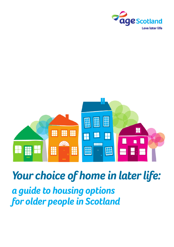



# *Your choice of home in later life: Your choice of home in later life: a guide to housing options a guide to housing options for older people in Scotland for older people in Scotland*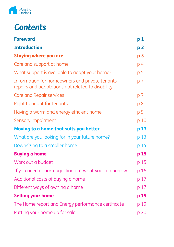

# *Contents*

| <b>Foreword</b>                                                                                       | p <sub>1</sub> |
|-------------------------------------------------------------------------------------------------------|----------------|
| <b>Introduction</b>                                                                                   | p <sub>2</sub> |
| <b>Staying where you are</b>                                                                          | p <sub>3</sub> |
| Care and support at home                                                                              | p 4            |
| What support is available to adapt your home?                                                         | p <sub>5</sub> |
| Information for homeowners and private tenants -<br>repairs and adaptations not related to disability | p <sub>7</sub> |
| Care and Repair services                                                                              | p 7            |
| Right to adapt for tenants                                                                            | p 8            |
| Having a warm and energy efficient home                                                               | p 9            |
| Sensory impairment                                                                                    | p 10           |
| Moving to a home that suits you better                                                                | p 13           |
| What are you looking for in your future home?                                                         | p 13           |
| Downsizing to a smaller home                                                                          | p 14           |
| <b>Buying a home</b>                                                                                  | p 15           |
| Work out a budget                                                                                     | p 15           |
| If you need a mortgage, find out what you can borrow                                                  | p 16           |
| Additional costs of buying a home                                                                     | p 17           |
| Different ways of owning a home                                                                       | p 17           |
| <b>Selling your home</b>                                                                              | p 19           |
| The Home report and Energy performance certificate                                                    | p 19           |
| Putting your home up for sale                                                                         | p 20           |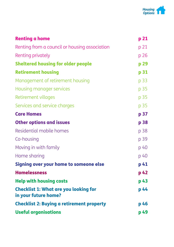

| <b>Renting a home</b>                                                | p 21 |
|----------------------------------------------------------------------|------|
| Renting from a council or housing association                        | p 21 |
| Renting privately                                                    | p 26 |
| <b>Sheltered housing for older people</b>                            | p 29 |
| <b>Retirement housing</b>                                            | p 31 |
| Management of retirement housing                                     | p 33 |
| Housing manager services                                             | p 35 |
| Retirement villages                                                  | p 35 |
| Services and service charges                                         | p 35 |
| <b>Care Homes</b>                                                    | p 37 |
| <b>Other options and issues</b>                                      | p 38 |
| Residential mobile homes                                             | p 38 |
| Co-housing                                                           | p 39 |
| Moving in with family                                                | p 40 |
| Home sharing                                                         | p 40 |
| Signing over your home to someone else                               | p 41 |
| <b>Homelessness</b>                                                  | p 42 |
| <b>Help with housing costs</b>                                       | p 43 |
| <b>Checklist 1: What are you looking for</b><br>in your future home? | p 44 |
| <b>Checklist 2: Buying a retirement property</b>                     | p 46 |
| <b>Useful organisations</b>                                          | p 49 |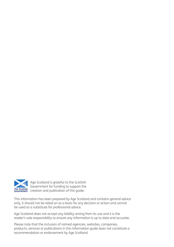

Age Scotland is grateful to the Scottish Government for funding to support the The Scottish Covernment creation and publication of this guide.

This information has been prepared by Age Scotland and contains general advice only, it should not be relied on as a basis for any decision or action and cannot be used as a substitute for professional advice.

Age Scotland does not accept any liability arising from its use and it is the reader's sole responsibility to ensure any information is up to date and accurate.

Please note that the inclusion of named agencies, websites, companies, products, services or publications in this information guide does not constitute a recommendation or endorsement by Age Scotland.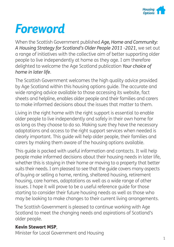

# *Foreword*

When the Scottish Government published *Age, Home and Community: A Housing Strategy for Scotland's Older People 2011 -2021*, we set out a range of initiatives with the collective aim of better supporting older people to live independently at home as they age. I am therefore delighted to welcome the Age Scotland publication *Your choice of home in later life*.

The Scottish Government welcomes the high quality advice provided by Age Scotland within this housing options guide. The accurate and wide ranging advice available to those accessing its website, fact sheets and helpline, enables older people and their families and carers to make informed decisions about the issues that matter to them.

Living in the right home with the right support is essential to enable older people to live independently and safely in their own home for as long as they choose to do so. Making sure they have the necessary adaptations and access to the right support services when needed is clearly important. This guide will help older people, their families and carers by making them aware of the housing options available.

This guide is packed with useful information and contacts. It will help people make informed decisions about their housing needs in later life, whether this is staying in their home or moving to a property that better suits their needs. I am pleased to see that the guide covers many aspects of buying or selling a home, renting, sheltered housing, retirement housing, care homes, adaptations as well as a wide range of other issues. I hope it will prove to be a useful reference guide for those starting to consider their future housing needs as well as those who may be looking to make changes to their current living arrangements.

The Scottish Government is pleased to continue working with Age Scotland to meet the changing needs and aspirations of Scotland's older people.

#### Kevin Stewart MSP,

Minister for Local Government and Housing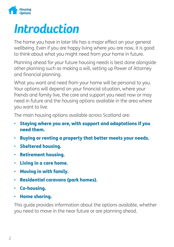

# *Introduction*

The home you have in later life has a major effect on your general wellbeing. Even if you are happy living where you are now, it is good to think about what you might need from your home in future.

Planning ahead for your future housing needs is best done alongside other planning such as making a will, setting up Power of Attorney and financial planning.

What you want and need from your home will be personal to you. Your options will depend on your financial situation, where your friends and family live, the care and support you need now or may need in future and the housing options available in the area where you want to live.

The main housing options available across Scotland are:

- Staying where you are, with support and adaptations if you need them.
- Buying or renting a property that better meets your needs.
- Sheltered housing.
- Retirement housing.
- Living in a care home.
- Moving in with family.
- Residential caravans (park homes).
- Co-housing.
- Home sharing.

This guide provides information about the options available, whether you need to move in the near future or are planning ahead.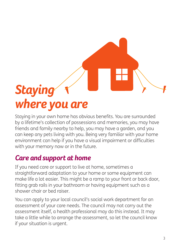# *Staying where you are*

Staying in your own home has obvious benefits. You are surrounded by a lifetime's collection of possessions and memories, you may have friends and family nearby to help, you may have a garden, and you can keep any pets living with you. Being very familiar with your home environment can help if you have a visual impairment or difficulties with your memory now or in the future.

## *Care and support at home*

If you need care or support to live at home, sometimes a straightforward adaptation to your home or some equipment can make life a lot easier. This might be a ramp to your front or back door, fitting grab rails in your bathroom or having equipment such as a shower chair or bed raiser.

You can apply to your local council's social work department for an assessment of your care needs. The council may not carry out the assessment itself, a health professional may do this instead. It may take a little while to arrange the assessment, so let the council know if your situation is urgent.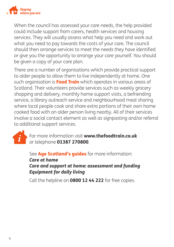

When the council has assessed your care needs, the help provided could include support from carers, health services and housing services. They will usually assess what help you need and work out what you need to pay towards the costs of your care. The council should then arrange services to meet the needs they have identified or give you the opportunity to arrange your care yourself. You should be given a copy of your care plan.

There are a number of organisations which provide practical support to older people to allow them to live independently at home. One such organisation is **Food Train** which operates in various areas of Scotland. Their volunteers provide services such as weekly grocery shopping and delivery, monthly home support visits, a befriending service, a library outreach service and neighbourhood meal sharing where local people cook and share extra portions of their own home cooked food with an older person living nearby. All of their services involve a social contact element as well as signposting and/or referral to additional support services.



For more information visit www.thefoodtrain.co.uk or telephone 01387 270800.

See Age Scotland's guides for more information: *Care at home Care and support at home: assessment and funding Equipment for daily living*

Call the helpline on **0800 12 44 222** for free copies.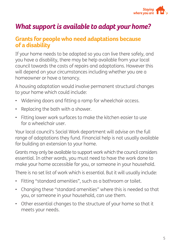

### *What support is available to adapt your home?*

#### **Grants for people who need adaptations because of a disability**

If your home needs to be adapted so you can live there safely, and you have a disability, there may be help available from your local council towards the costs of repairs and adaptations. However this will depend on your circumstances including whether you are a homeowner or have a tenancy.

A housing adaptation would involve permanent structural changes to your home which could include:

- Widening doors and fitting a ramp for wheelchair access.
- Replacing the bath with a shower.
- Fitting lower work surfaces to make the kitchen easier to use for a wheelchair user.

Your local council's Social Work department will advise on the full range of adaptations they fund. Financial help is not usually available for building an extension to your home.

Grants may only be available to support work which the council considers essential. In other words, you must need to have the work done to make your home accessible for you, or someone in your household.

There is no set list of work which is essential. But it will usually include:

- Fitting "standard amenities", such as a bathroom or toilet.
- Changing these "standard amenities" where this is needed so that you, or someone in your household, can use them.
- Other essential changes to the structure of your home so that it meets your needs.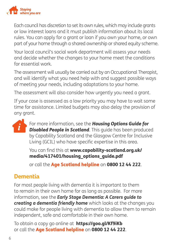

Each council has discretion to set its own rules, which may include grants or low interest loans and it must publish information about its local rules. You can apply for a grant or loan if you own your home, or own part of your home through a shared ownership or shared equity scheme.

Your local council's social work department will assess your needs and decide whether the changes to your home meet the conditions for essential work.

The assessment will usually be carried out by an Occupational Therapist, and will identify what you need help with and suggest possible ways of meeting your needs, including adaptations to your home.

The assessment will also consider how urgently you need a grant.

If your case is assessed as a low priority you may have to wait some time for assistance. Limited budgets may also delay the provision of any grant.



For more information, see the *Housing Options Guide for Disabled People in Scotland*. This guide has been produced by Capability Scotland and the Glasgow Centre for Inclusive Living (GCIL) who have specific expertise in this area.

You can find this at www.capability-scotland.org.uk/ media/417401/housing\_options\_guide.pdf

or call the Age Scotland helpline on 0800 12 44 222.

### **Dementia**

For most people living with dementia it is important to them to remain in their own home for as long as possible. For more information, see the *Early Stage Dementia: A Carers guide to creating a dementia friendly home* which looks at the changes you could make for people living with dementia to allow them to remain independent, safe and comfortable in their own home.

To obtain a copy go online at https://goo.gl/Kf9iKb or call the Age Scotland helpline on 0800 12 44 222.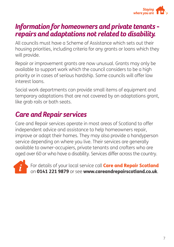

### *Information for homeowners and private tenants repairs and adaptations not related to disability.*

All councils must have a Scheme of Assistance which sets out their housing priorities, including criteria for any grants or loans which they will provide.

Repair or improvement grants are now unusual. Grants may only be available to support work which the council considers to be a high priority or in cases of serious hardship. Some councils will offer low interest loans.

Social work departments can provide small items of equipment and temporary adaptations that are not covered by an adaptations grant, like grab rails or bath seats.

# *Care and Repair services*

Care and Repair services operate in most areas of Scotland to offer independent advice and assistance to help homeowners repair, improve or adapt their homes. They may also provide a handyperson service depending on where you live. Their services are generally available to owner-occupiers, private tenants and crofters who are aged over 60 or who have a disability. Services differ across the country.



For details of your local service call **Care and Repair Scotland** on 0141 221 9879 or see www.careandrepairscotland.co.uk.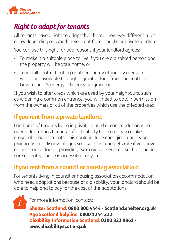

## *Right to adapt for tenants*

All tenants have a right to adapt their home, however different rules apply depending on whether you rent from a public or private landlord.

You can use this right for two reasons if your landlord agrees:

- To make it a suitable place to live if you are a disabled person and the property will be your home, or
- To install central heating or other energy efficiency measures which are available through a grant or loan from the Scottish Government's energy efficiency programme.

If you wish to alter areas which are used by your neighbours, such as widening a common entrance, you will need to obtain permission from the owners of all of the properties which use the affected area.

### **If you rent from a private landlord:**

Landlords of tenants living in private rented accommodation who need adaptations because of a disability have a duty to make reasonable adjustments. This could include changing a policy or practice which disadvantages you, such as a no pets rule if you have an assistance dog, or providing extra aids or services, such as making sure an entry phone is accessible for you.

### **If you rent from a council or housing association:**

For tenants living in council or housing association accommodation who need adaptations because of a disability, your landlord should be able to help and to pay for the cost of the adaptations.

 $\boldsymbol{i}$ 

For more information, contact:

Shelter Scotland: 0800 800 4444 / Scotland.shelter.org.uk Age Scotland helpline: 0800 1244 222 Disability Information Scotland: 0300 323 9961 / www.disabilityscot.org.uk.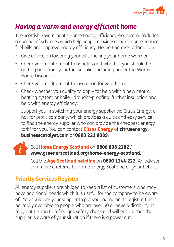

## *Having a warm and energy efficient home*

The Scottish Government's Home Energy Efficiency Programme includes a number of schemes which help people maximise their income, reduce fuel bills and improve energy efficiency. Home Energy Scotland can:

- Give advice on lowering your bills making your home warmer.
- Check your entitlement to benefits and whether you should be getting help from your fuel supplier including under the Warm Home Discount.
- Check your entitlement to insulation for your home.
- Check whether you qualify to apply for help with a new central heating system or boiler, draught-proofing, further insulation and help with energy efficiency.
- Support you in switching your energy supplier via Citrus Energy, a not for profit company, which provides a quick and easy service to find the energy supplier who can provide the cheapest energy tariff for you. You can contact **Citrus Energy** at citrusenergy. businesscatalyst.com or 0800 221 8089.

#### Call Home Energy Scotland on 0808 808 2282 / www.greenerscotland.org/home-energy-scotland.

Call the Age Scotland helpline on 0800 1244 222. An adviser can make a referral to Home Energy Scotland on your behalf.

### **Priority Services Register**

All energy suppliers are obliged to keep a list of customers who may have additional needs which it is useful for the company to be aware of. You could ask your supplier to put your name on its register; this is normally available to people who are over 60 or have a disability. It may entitle you to a free gas safety check and will ensure that the supplier is aware of your situation if there is a power cut.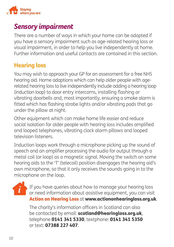

### *Sensory impairment*

There are a number of ways in which your home can be adapted if you have a sensory impairment such as age-related hearing loss or visual impairment, in order to help you live independently at home. Further information and useful contacts are contained in this section.

### **Hearing loss**

You may wish to approach your GP for an assessment for a free NHS hearing aid. Home adaptions which can help older people with agerelated hearing loss to live independently include adding a hearing loop (induction loop) to door entry intercoms, installing flashing or vibrating doorbells and, most importantly, ensuring a smoke alarm is fitted which has flashing strobe lights and/or vibrating pads that go under the pillow at night.

Other equipment which can make home life easier and reduce social isolation for older people with hearing loss includes amplified and looped telephones, vibrating clock alarm pillows and looped television listeners.

Induction loops work through a microphone picking up the sound of speech and an amplifier processing the audio for output through a metal coil (or loop) as a magnetic signal. Moving the switch on some hearing aids to the 'T' (telecoil) position disengages the hearing aid's own microphone, so that it only receives the sounds going in to the microphone on the loop.

If you have queries about how to manage your hearing loss or need information about assistive equipment, you can visit Action on Hearing Loss at www.actiononhearingloss.org.uk.

The charity's information officers in Scotland can also be contacted by email: scotland@hearingloss.org.uk, telephone 0141 341 5330, textphone: 0141 341 5350 or text: 07388 227 407.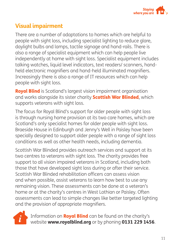

### **Visual impairment**

There are a number of adaptations to homes which are helpful to people with sight loss, including specialist lighting to reduce glare, daylight bulbs and lamps, tactile signage and hand-rails. There is also a range of specialist equipment which can help people live independently at home with sight loss. Specialist equipment includes talking watches, liquid level indicators, text readers/ scanners, handheld electronic magnifiers and hand-held illuminated magnifiers. Increasingly there is also a range of IT resources which can help people with sight loss.

Royal Blind is Scotland's largest vision impairment organisation and works alongside its sister charity **Scottish War Blinded**, which supports veterans with sight loss.

The focus for Royal Blind's support for older people with sight loss is through nursing home provision at its two care homes, which are Scotland's only specialist homes for older people with sight loss. Braeside House in Edinburgh and Jenny's Well in Paisley have been specially designed to support older people with a range of sight loss conditions as well as other health needs, including dementia.

Scottish War Blinded provides outreach services and support at its two centres to veterans with sight loss. The charity provides free support to all vision impaired veterans in Scotland, including both those that have developed sight loss during or after their service. Scottish War Blinded rehabilitation officers can assess vision and when possible, assist veterans to learn how best to use any remaining vision. These assessments can be done at a veteran's home or at the charity's centres in West Lothian or Paisley. Often assessments can lead to simple changes like better targeted lighting and the provision of appropriate magnifiers.



Information on **Royal Blind** can be found on the charity's website www.royalblind.org or by phoning 0131 229 1456.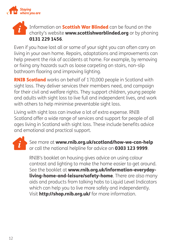

#### Information on **Scottish War Blinded** can be found on the charity's website www.scottishwarblinded.org or by phoning 0131 229 1456.

Even if you have lost all or some of your sight you can often carry on living in your own home. Repairs, adaptations and improvements can help prevent the risk of accidents at home. For example, by removing or fixing any hazards such as loose carpeting on stairs, non-slip bathroom flooring and improving lighting.

**RNIB Scotland** works on behalf of 170,000 people in Scotland with sight loss. They deliver services their members need, and campaign for their civil and welfare rights. They support children, young people and adults with sight loss to live full and independent lives, and work with others to help minimise preventable sight loss.

Living with sight loss can involve a lot of extra expense. RNIB Scotland offer a wide range of services and support for people of all ages living in Scotland with sight loss. These include benefits advice and emotional and practical support.



See more at www.rnib.org.uk/scotland/how-we-can-help or call the national helpline for advice on 0303 123 9999.

RNIB's booklet on housing gives advice on using colour contrast and lighting to make the home easier to get around. See the booklet at www.rnib.org.uk/information-everydayliving-home-and-leisure/safety-home. There are also many aids and products from talking hobs to Liquid Level Indicators which can help you to live more safely and independently. Visit **http://shop.rnib.org.uk/** for more information.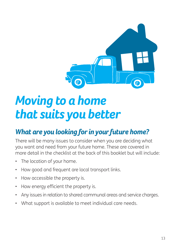

# *Moving to a home that suits you better*

# *What are you looking for in your future home?*

There will be many issues to consider when you are deciding what you want and need from your future home. These are covered in more detail in the checklist at the back of this booklet but will include:

- The location of your home.
- How good and frequent are local transport links.
- How accessible the property is.
- How energy efficient the property is.
- Any issues in relation to shared communal areas and service charges.
- What support is available to meet individual care needs.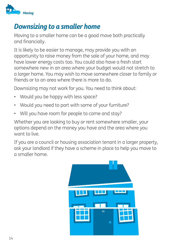

### *Downsizing to a smaller home*

Moving to a smaller home can be a good move both practically and financially.

It is likely to be easier to manage, may provide you with an opportunity to raise money from the sale of your home, and may have lower energy costs too. You could also have a fresh start somewhere new in an area where your budget would not stretch to a larger home. You may wish to move somewhere closer to family or friends or to an area where there is more to do.

Downsizing may not work for you. You need to think about:

- Would you be happy with less space?
- Would you need to part with some of your furniture?
- Will you have room for people to come and stay?

Whether you are looking to buy or rent somewhere smaller, your options depend on the money you have and the area where you want to live.

If you are a council or housing association tenant in a larger property, ask your landlord if they have a scheme in place to help you move to a smaller home.

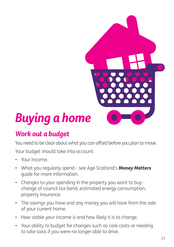# *Buying a home*

# *Work out a budget*

You need to be clear about what you can afford before you plan to move.

Your budget should take into account:

- Your income.
- What you regularly spend see Age Scotland's *Money Matters* guide for more information.
- Changes to your spending in the property you want to buy change of council tax band, estimated energy consumption, property insurance.
- The savings you have and any money you will have from the sale of your current home.
- How stable your income is and how likely it is to change.
- Your ability to budget for changes such as care costs or needing to take taxis if you were no longer able to drive.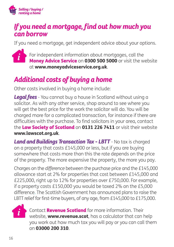

### *If you need a mortgage, find out how much you can borrow*

If you need a mortgage, get independent advice about your options.



For independent information about mortgages, call the Money Advice Service on 0300 500 5000 or visit the website at www.moneyadviceservice.org.uk.

# *Additional costs of buying a home*

Other costs involved in buying a home include:

*Legal fees* - You cannot buy a house in Scotland without using a solicitor. As with any other service, shop around to see where you will get the best price for the work the solicitor will do. You will be charged more for a complicated transaction, for instance if there are difficulties with the purchase. To find solicitors in your area, contact the Law Society of Scotland on 0131 226 7411 or visit their website www.lawscot.org.uk.

*Land and Buildings Transaction Tax - LBTT - No tax is charged* on a property that costs £145,000 or less, but if you are buying somewhere that costs more than this the rate depends on the price of the property. The more expensive the property, the more you pay.

Charges on the *difference* between the purchase price and the £145,000 allowance start at 2% for properties that cost between £145,000 and £225,000, right up to 12% for properties over £750,000. For example, if a property costs £150,000 you would be taxed 2% on the £5,000 difference. The Scottish Government has announced plans to raise the LBTT relief for first-time buyers, of any age, from £145,000 to £175,000.



Contact **Revenue Scotland** for more information. Their website, **www.revenue.scot**, has a calculator that can help you work out how much tax you will pay or you can call them on 03000 200 310.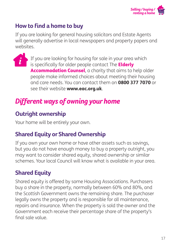

### **How to find a home to buy**

If you are looking for general housing solicitors and Estate Agents will generally advertise in local newspapers and property papers and websites.

If you are looking for housing for sale in your area which is specifically for older people contact The **Elderly** Accommodation Counsel, a charity that aims to help older people make informed choices about meeting their housing and care needs. You can contact them on 0800 377 7070 or see their website **www.eac.org.uk**.

# *Different ways of owning your home*

### **Outright ownership**

Your home will be entirely your own.

### **Shared Equity or Shared Ownership**

If you own your own home or have other assets such as savings, but you do not have enough money to buy a property outright, you may want to consider shared equity, shared ownership or similar schemes. Your local Council will know what is available in your area.

### **Shared Equity**

Shared equity is offered by some Housing Associations. Purchasers buy a share in the property, normally between 60% and 80%, and the Scottish Government owns the remaining share. The purchaser legally owns the property and is responsible for all maintenance, repairs and insurance. When the property is sold the owner and the Government each receive their percentage share of the property's final sale value.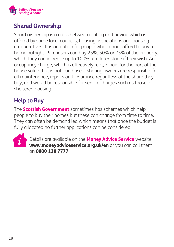

### **Shared Ownership**

Shard ownership is a cross between renting and buying which is offered by some local councils, housing associations and housing co-operatives. It is an option for people who cannot afford to buy a home outright. Purchasers can buy 25%, 50% or 75% of the property, which they can increase up to 100% at a later stage if they wish. An occupancy charge, which is effectively rent, is paid for the part of the house value that is not purchased. Sharing owners are responsible for all maintenance, repairs and insurance regardless of the share they buy, and would be responsible for service charges such as those in sheltered housing.

### **Help to Buy**

The **Scottish Government** sometimes has schemes which help people to buy their homes but these can change from time to time. They can often be demand led which means that once the budget is fully allocated no further applications can be considered.



Details are available on the **Money Advice Service** website www.moneyadviceservice.org.uk/en or you can call them on 0800 138 7777.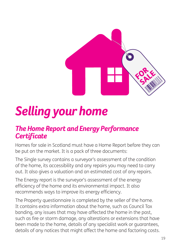

# *Selling your home*

### *The Home Report and Energy Performance Certificate*

Homes for sale in Scotland must have a Home Report before they can be put on the market. It is a pack of three documents:

The Single survey contains a surveyor's assessment of the condition of the home, its accessibility and any repairs you may need to carry out. It also gives a valuation and an estimated cost of any repairs.

The Energy report is the surveyor's assessment of the energy efficiency of the home and its environmental impact. It also recommends ways to improve its energy efficiency.

The Property questionnaire is completed by the seller of the home. It contains extra information about the home, such as Council Tax banding, any issues that may have affected the home in the past, such as fire or storm damage, any alterations or extensions that have been made to the home, details of any specialist work or guarantees, details of any notices that might affect the home and factoring costs.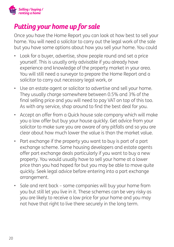

## *Putting your home up for sale*

Once you have the Home Report you can look at how best to sell your home. You will need a solicitor to carry out the legal work of the sale but you have some options about how you sell your home. You could

- Look for a buyer, advertise, show people round and set a price yourself. This is usually only advisable if you already have experience and knowledge of the property market in your area. You will still need a surveyor to prepare the Home Report and a solicitor to carry out necessary legal work, or
- Use an estate agent or solicitor to advertise and sell your home. They usually charge somewhere between 0.5% and 3% of the final selling price and you will need to pay VAT on top of this too. As with any service, shop around to find the best deal for you.
- Accept an offer from a Quick house sale company which will make you a low offer but buy your house quickly. Get advice from your solicitor to make sure you are aware of any pitfalls and so you are clear about how much lower the value is than the market value.
- Part exchange if the property you want to buy is part of a part exchange scheme. Some housing developers and estate agents offer part exchange deals particularly if you want to buy a new property. You would usually have to sell your home at a lower price than you had hoped for but you may be able to move quite quickly. Seek legal advice before entering into a part exchange arrangement.
- Sale and rent back some companies will buy your home from you but still let you live in it. These schemes can be very risky as you are likely to receive a low price for your home and you may not have that right to live there securely in the long term.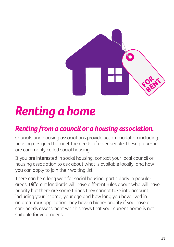

# *Renting a home*

# *Renting from a council or a housing association.*

Councils and housing associations provide accommodation including housing designed to meet the needs of older people: these properties are commonly called social housing.

If you are interested in social housing, contact your local council or housing association to ask about what is available locally, and how you can apply to join their waiting list.

There can be a long wait for social housing, particularly in popular areas. Different landlords will have different rules about who will have priority but there are some things they cannot take into account, including your income, your age and how long you have lived in an area. Your application may have a higher priority if you have a care needs assessment which shows that your current home is not suitable for your needs.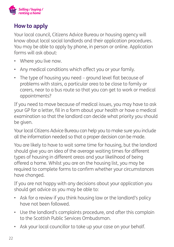

### **How to apply**

Your local council, Citizens Advice Bureau or housing agency will know about local social landlords and their application procedures. You may be able to apply by phone, in person or online. Application forms will ask about:

- Where you live now.
- Any medical conditions which affect you or your family.
- The type of housing you need ground level flat because of problems with stairs, a particular area to be close to family or carers, near to a bus route so that you can get to work or medical appointments?

If you need to move because of medical issues, you may have to ask your GP for a letter, fill in a form about your health or have a medical examination so that the landlord can decide what priority you should be given.

Your local Citizens Advice Bureau can help you to make sure you include all the information needed so that a proper decision can be made.

You are likely to have to wait some time for housing, but the landlord should give you an idea of the average waiting times for different types of housing in different areas and your likelihood of being offered a home. Whilst you are on the housing list, you may be required to complete forms to confirm whether your circumstances have changed.

If you are not happy with any decisions about your application you should get advice as you may be able to:

- Ask for a review if you think housing law or the landlord's policy have not been followed.
- Use the landlord's complaints procedure, and after this complain to the Scottish Public Services Ombudsman.
- Ask your local councillor to take up your case on your behalf.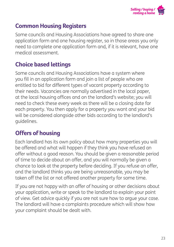

### **Common Housing Registers**

Some councils and Housing Associations have agreed to share one application form and one housing register, so in those areas you only need to complete one application form and, if it is relevant, have one medical assessment.

### **Choice based lettings**

Some councils and Housing Associations have a system where you fill in an application form and join a list of people who are entitled to bid for different types of vacant property according to their needs. Vacancies are normally advertised in the local paper, at the local housing offices and on the landlord's website; you will need to check these every week as there will be a closing date for each property. You then apply for a property you want and your bid will be considered alongside other bids according to the landlord's guidelines.

### **Offers of housing**

Each landlord has its own policy about how many properties you will be offered and what will happen if they think you have refused an offer without a good reason. You should be given a reasonable period of time to decide about an offer, and you will normally be given a chance to look at the property before deciding. If you refuse an offer, and the landlord thinks you are being unreasonable, you may be taken off the list or not offered another property for some time.

If you are not happy with an offer of housing or other decisions about your application, write or speak to the landlord to explain your point of view. Get advice quickly if you are not sure how to argue your case. The landlord will have a complaints procedure which will show how your complaint should be dealt with.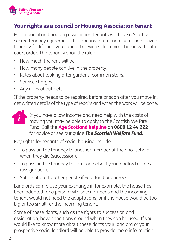

### **Your rights as a council or Housing Association tenant**

Most council and housing association tenants will have a Scottish secure tenancy agreement. This means that generally tenants have a tenancy for life and you cannot be evicted from your home without a court order. The tenancy should explain:

- How much the rent will be.
- How many people can live in the property.
- Rules about looking after gardens, common stairs.
- Service charges.
- Any rules about pets.

If the property needs to be repaired before or soon after you move in, get written details of the type of repairs and when the work will be done.



If you have a low income and need help with the costs of moving you may be able to apply to the Scottish Welfare Fund. Call the Age Scotland helpline on 0800 12 44 222 for advice or see our guide *The Scottish Welfare Fund*.

Key rights for tenants of social housing include:

- To pass on the tenancy to another member of their household when they die (succession).
- To pass on the tenancy to someone else if your landlord agrees (assignation).
- Sub-let it out to other people if your landlord agrees.

Landlords can refuse your exchange if, for example, the house has been adapted for a person with specific needs and the incoming tenant would not need the adaptations, or if the house would be too big or too small for the incoming tenant.

Some of these rights, such as the rights to succession and assignation, have conditions around when they can be used. If you would like to know more about these rights your landlord or your prospective social landlord will be able to provide more information.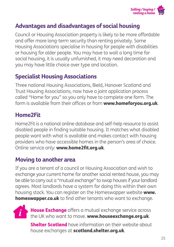

### **Advantages and disadvantages of social housing**

Council or Housing Association property is likely to be more affordable and offer more long-term security than renting privately. Some Housing Associations specialise in housing for people with disabilities or housing for older people. You may have to wait a long time for social housing, it is usually unfurnished, it may need decoration and you may have little choice over type and location.

### **Specialist Housing Associations**

Three national Housing Associations, Bield, Hanover Scotland and Trust Housing Associations, now have a joint application process called "Home for you" so you only have to complete one form. The form is available from their offices or from www.homeforvou.org.uk.

### **Home2Fit**

Home2Fit is a national online database and self-help resource to assist disabled people in finding suitable housing. It matches what disabled people want with what is available and makes contact with housing providers who have accessible homes in the person's area of choice. Online service only: www.home2fit.org.uk.

### **Moving to another area**

If you are a tenant of a council or Housing Association and wish to exchange your current home for another social rented house, you may be able to carry out a "mutual exchange" to swap houses if your landlord agrees. Most landlords have a system for doing this within their own housing stock. You can register on the Homeswapper website www. homeswapper.co.uk to find other tenants who want to exchange.



House Exchange offers a mutual exchange service across the UK who want to move. www.houseexchange.org.uk.

Shelter Scotland have information on their website about house exchanges at **scotland.shelter.org.uk**.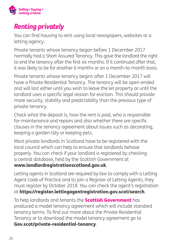

## *Renting privately*

You can find housing to rent using local newspapers, websites or a letting agency.

Private tenants whose tenancy began before 1 December 2017 normally had a Short Assured Tenancy. This gave the landlord the right to end the tenancy after the first six months. If it continued after that, it was likely to be for another 6 months or on a month-to-month basis.

Private tenants whose tenancy begins after 1 December 2017 will have a Private Residential Tenancy. The tenancy will be open-ended and will last either until you wish to leave the let property or until the landlord uses a specific legal reason for eviction. This should provide more security, stability and predictability than the previous type of private tenancy.

Check what the deposit is, how the rent is paid, who is responsible for maintenance and repairs and also whether there are specific clauses in the tenancy agreement about issues such as decorating, keeping a garden tidy or keeping pets.

Most private landlords in Scotland have to be registered with the local council which can help to ensure that landlords behave properly. You can check if your landlord is registered by checking a central database, held by the Scottish Government at

#### www.landlordregistrationscotland.gov.uk.

Letting agents in Scotland are required by law to comply with a Letting Agent Code of Practice and to join a Register of Letting Agents; they must register by October 2018. You can check the agent's registration at https://register.lettingagentregistration.gov.scot/search.

To help landlords and tenants the **Scottish Government** has produced a model tenancy agreement which will include standard tenancy terms. To find out more about the Private Residential Tenancy or to download the model tenancy agreement go to Gov.scot/private-residential-tenancy.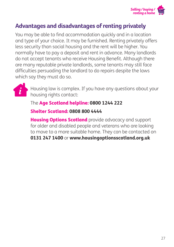

#### **Advantages and disadvantages of renting privately**

You may be able to find accommodation quickly and in a location and type of your choice. It may be furnished. Renting privately offers less security than social housing and the rent will be higher. You normally have to pay a deposit and rent in advance. Many landlords do not accept tenants who receive Housing Benefit. Although there are many reputable private landlords, some tenants may still face difficulties persuading the landlord to do repairs despite the laws which say they must do so.



Housing law is complex. If you have any questions about your housing rights contact:

The Age Scotland helpline: 0800 1244 222

Shelter Scotland: 0808 800 4444

**Housing Options Scotland** provide advocacy and support for older and disabled people and veterans who are looking to move to a more suitable home. They can be contacted on 0131 247 1400 or www.housingoptionsscotland.org.uk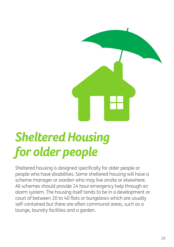

# *Sheltered Housing for older people*

Sheltered housing is designed specifically for older people or people who have disabilities. Some sheltered housing will have a scheme manager or warden who may live onsite or elsewhere. All schemes should provide 24 hour emergency help through an alarm system. The housing itself tends to be in a development or court of between 20 to 40 flats or bungalows which are usually self-contained but there are often communal areas, such as a lounge, laundry facilities and a garden.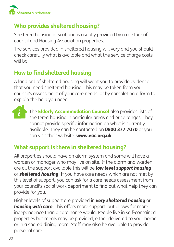

### **Who provides sheltered housing?**

Sheltered housing in Scotland is usually provided by a mixture of council and Housing Association properties.

The services provided in sheltered housing will vary and you should check carefully what is available and what the service charge costs will be.

### **How to find sheltered housing**

A landlord of sheltered housing will want you to provide evidence that you need sheltered housing. This may be taken from your council's assessment of your care needs, or by completing a form to explain the help you need.



The **Elderly Accommodation Counsel** also provides lists of sheltered housing in particular areas and price ranges. They cannot provide specific information on what is currently available. They can be contacted on 0800 377 7070 or you can visit their website: www.eac.org.uk.

### **What support is there in sheltered housing?**

All properties should have an alarm system and some will have a warden or manager who may live on site. If the alarm and warden are all the support available this will be *low level support housing* or *sheltered housing*. If you have care needs which are not met by this level of support, you can ask for a care needs assessment from your council's social work department to find out what help they can provide for you.

Higher levels of support are provided in *very sheltered housing* or *housing with care*. This offers more support, but allows for more independence than a care home would. People live in self-contained properties but meals may be provided, either delivered to your home or in a shared dining room. Staff may also be available to provide personal care.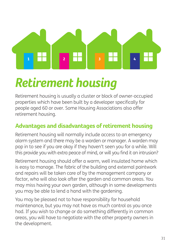# $\overline{1}$  $\overline{2}$  $\overline{\mathbf{3}}$

# *Retirement housing*

Retirement housing is usually a cluster or block of owner-occupied properties which have been built by a developer specifically for people aged 60 or over. Some Housing Associations also offer retirement housing.

### **Advantages and disadvantages of retirement housing**

Retirement housing will normally include access to an emergency alarm system and there may be a warden or manager. A warden may pop in to see if you are okay if they haven't seen you for a while. Will this provide you with extra peace of mind, or will you find it an intrusion?

Retirement housing should offer a warm, well insulated home which is easy to manage. The fabric of the building and external paintwork and repairs will be taken care of by the management company or factor, who will also look after the garden and common areas. You may miss having your own garden, although in some developments you may be able to lend a hand with the gardening.

You may be pleased not to have responsibility for household maintenance, but you may not have as much control as you once had. If you wish to change or do something differently in common areas, you will have to negotiate with the other property owners in the development.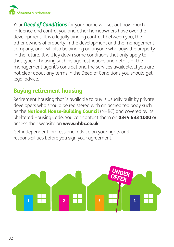

Your *Deed of Conditions* for your home will set out how much influence and control you and other homeowners have over the development. It is a legally binding contract between you, the other owners of property in the development and the management company, and will also be binding on anyone who buys the property in the future. It will lay down some conditions that only apply to that type of housing such as age restrictions and details of the management agent's contract and the services available. If you are not clear about any terms in the Deed of Conditions you should get legal advice.

### **Buying retirement housing**

Retirement housing that is available to buy is usually built by private developers who should be registered with an accredited body such as the **National House-Building Council** (NHBC) and covered by its Sheltered Housing Code. You can contact them on 0344 633 1000 or access their website on **www.nhbc.co.uk** 

Get independent, professional advice on your rights and responsibilities before you sign your agreement.

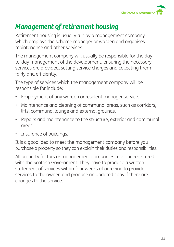

### *Management of retirement housing*

Retirement housing is usually run by a management company which employs the scheme manager or warden and organises maintenance and other services.

The management company will usually be responsible for the dayto-day management of the development, ensuring the necessary services are provided, setting service charges and collecting them fairly and efficiently.

The type of services which the management company will be responsible for include:

- Employment of any warden or resident manager service.
- Maintenance and cleaning of communal areas, such as corridors, lifts, communal lounge and external grounds.
- Repairs and maintenance to the structure, exterior and communal areas.
- Insurance of buildings.

It is a good idea to meet the management company before you purchase a property so they can explain their duties and responsibilities.

All property factors or management companies must be registered with the Scottish Government. They have to produce a written statement of services within four weeks of agreeing to provide services to the owner, and produce an updated copy if there are changes to the service.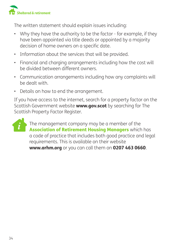

The written statement should explain issues including:

- Why they have the authority to be the factor for example, if they have been appointed via title deeds or appointed by a majority decision of home owners on a specific date.
- Information about the services that will be provided.
- Financial and charging arrangements including how the cost will be divided between different owners.
- Communication arrangements including how any complaints will be dealt with.
- Details on how to end the arrangement.

If you have access to the internet, search for a property factor on the Scottish Government website **www.gov.scot** by searching for The Scottish Property Factor Register.



The management company may be a member of the Association of Retirement Housing Managers which has a code of practice that includes both good practice and legal requirements. This is available on their website www.arhm.org or you can call them on 0207 463 0660.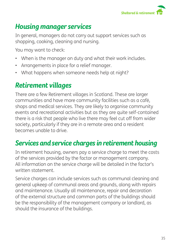

# *Housing manager services*

In general, managers do not carry out support services such as shopping, cooking, cleaning and nursing.

You may want to check:

- When is the manager on duty and what their work includes.
- Arrangements in place for a relief manager.
- What happens when someone needs help at night?

# *Retirement villages*

There are a few Retirement villages in Scotland. These are larger communities and have more community facilities such as a café, shops and medical services. They are likely to organise community events and recreational activities but as they are quite self-contained there is a risk that people who live there may feel cut off from wider society, particularly if they are in a remote area and a resident becomes unable to drive.

## *Services and service charges in retirement housing*

In retirement housing, owners pay a service charge to meet the costs of the services provided by the factor or management company. All information on the service charge will be detailed in the factor's written statement.

Service charges can include services such as communal cleaning and general upkeep of communal areas and grounds, along with repairs and maintenance. Usually all maintenance, repair and decoration of the external structure and common parts of the buildings should be the responsibility of the management company or landlord, as should the insurance of the buildings.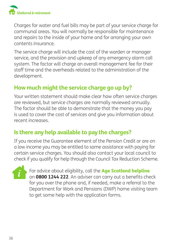

Charges for water and fuel bills may be part of your service charge for communal areas. You will normally be responsible for maintenance and repairs to the inside of your home and for arranging your own contents insurance.

The service charge will include the cost of the warden or manager service, and the provision and upkeep of any emergency alarm call system. The factor will charge an overall management fee for their staff time and the overheads related to the administration of the development.

### **How much might the service charge go up by?**

Your written statement should make clear how often service charges are reviewed, but service charges are normally reviewed annually. The factor should be able to demonstrate that the money you pay is used to cover the cost of services and give you information about recent increases.

### **Is there any help available to pay the charges?**

If you receive the Guarantee element of the Pension Credit or are on a low income you may be entitled to some assistance with paying for certain service charges. You should also contact your local council to check if you qualify for help through the Council Tax Reduction Scheme.



For advice about eligibility, call the Age Scotland helpline on 0800 1244 222. An adviser can carry out a benefits check for you over the phone and, if needed, make a referral to the Department for Work and Pensions (DWP) home visiting team to get some help with the application forms.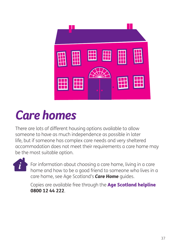

# *Care homes*

There are lots of different housing options available to allow someone to have as much independence as possible in later life, but if someone has complex care needs and very sheltered accommodation does not meet their requirements a care home may be the most suitable option.



For information about choosing a care home, living in a care home and how to be a good friend to someone who lives in a care home, see Age Scotland's *Care Home* guides.

Copies are available free through the Age Scotland helpline 0800 12 44 222.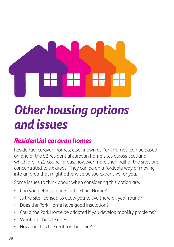

# *Other housing options and issues*

# *Residential caravan homes*

Residential caravan homes, also known as Park Homes, can be based on one of the 92 residential caravan home sites across Scotland which are in 22 council areas, however more than half of the sites are concentrated to six areas. They can be an affordable way of moving into an area that might otherwise be too expensive for you.

Some issues to think about when considering this option are:

- Can you get insurance for the Park Home?
- Is the site licensed to allow you to live there all year round?
- Does the Park Home have good insulation?
- Could the Park Home be adapted if you develop mobility problems?
- What are the site rules?
- How much is the rent for the land?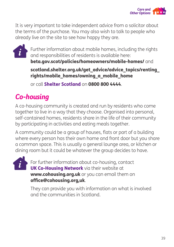

It is very important to take independent advice from a solicitor about the terms of the purchase. You may also wish to talk to people who already live on the site to see how happy they are.



Further information about mobile homes, including the rights and responsibilities of residents is available here:

beta.gov.scot/policies/homeowners/mobile-homes/ and

scotland.shelter.org.uk/get\_advice/advice\_topics/renting\_ rights/mobile\_homes/owning\_a\_mobile\_home

or call Shelter Scotland on 0800 800 4444.

# *Co-housing*

A co-housing community is created and run by residents who come together to live in a way that they choose. Organised into personal, self-contained homes, residents share in the life of their community by participating in activities and eating meals together.

A community could be a group of houses, flats or part of a building where every person has their own home and front door but you share a common space. This is usually a general lounge area, or kitchen or dining room but it could be whatever the group decides to have.



For further information about co-housing, contact **UK Co-Housing Network** via their website at www.cohousing.org.uk or you can email them on office@cohousing.org,uk.

They can provide you with information on what is involved and the communities in Scotland.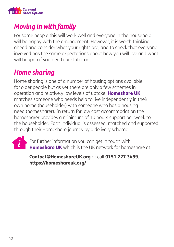

# *Moving in with family*

For some people this will work well and everyone in the household will be happy with the arrangement. However, it is worth thinking ahead and consider what your rights are, and to check that everyone involved has the same expectations about how you will live and what will happen if you need care later on.

# *Home sharing*

Home sharing is one of a number of housing options available for older people but as yet there are only a few schemes in operation and relatively low levels of uptake. Homeshare UK matches someone who needs help to live independently in their own home (householder) with someone who has a housing need (homesharer). In return for low cost accommodation the homesharer provides a minimum of 10 hours support per week to the householder. Each individual is assessed, matched and supported through their Homeshare journey by a delivery scheme.



For further information you can get in touch with Homeshare UK which is the UK network for homeshare at:

#### Contact@HomeshareUK.org or call 0151 227 3499. https://homeshareuk.org/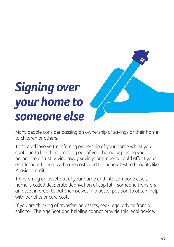# *Signing over your home to someone else*



Many people consider passing on ownership of savings or their home to children or others.

This could involve transferring ownership of your home whilst you continue to live there, moving out of your home or placing your home into a trust. Giving away savings or property could affect your entitlement to help with care costs and to means-tested benefits like Pension Credit.

Transferring an asset out of your name and into someone else's name is called deliberate deprivation of capital if someone transfers an asset in order to put themselves in a better position to obtain help with benefits or care costs.

If you are thinking of transferring assets, seek legal advice from a solicitor. The Age Scotland helpline cannot provide this legal advice.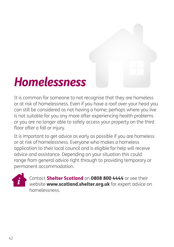# *Homelessness*

It is common for someone to not recognise that they are homeless or at risk of homelessness. Even if you have a roof over your head you can still be considered as not having a home; perhaps where you live is not suitable for you any more after experiencing health problems or you are no longer able to safely access your property on the third floor after a fall or injury.

It is important to get advice as early as possible if you are homeless or at risk of homelessness. Everyone who makes a homeless application to their local council and is eligible for help will receive advice and assistance. Depending on your situation this could range from general advice right through to providing temporary or permanent accommodation.



Contact Shelter Scotland on 0808 800 4444 or see their website **www.scotland.shelter.org.uk** for expert advice on homelessness.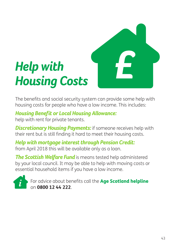

# *Help with Housing Costs*

The benefits and social security system can provide some help with housing costs for people who have a low income. This includes:

#### *Housing Benefit or Local Housing Allowance:*

help with rent for private tenants.

**Discretionary Housing Payments:** if someone receives help with their rent but is still finding it hard to meet their housing costs.

*Help with mortgage interest through Pension Credit:* from April 2018 this will be available only as a loan.

*The Scottish Welfare Fund* is means tested help administered by your local council. It may be able to help with moving costs or essential household items if you have a low income.



For advice about benefits call the Age Scotland helpline on **0800 12 44 222**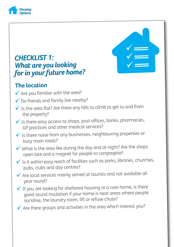

### *CHECKLIST 1: What are you looking for in your future home?*

### **The location**

- $\checkmark$  Are you familiar with the area?
- ◆ Do friends and family live nearby?
- $\checkmark$  Is the area flat? Are there any hills to climb to get to and from the property?
- $\checkmark$  Is there easy access to shops, post offices, banks, pharmacies, GP practices and other medical services?
- $\checkmark$  Is there noise from any businesses, neighbouring properties or busy main roads?
- $\checkmark$  What is the area like during the day and at night? Are the shops open late and a magnet for people to congregate?
- $\checkmark$  Is it within easy reach of facilities such as parks, libraries, churches, pubs, clubs and day centres?
- $\checkmark$  Are local services mainly aimed at tourists and not available all year round?
- $\checkmark$  If you are looking for sheltered housing or a care home, is there good sound insulation if your home is near areas where people socialise, the laundry room, lift or refuse chute?

 $\checkmark$  Are there groups and activities in the area which interest you?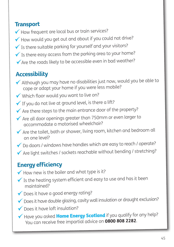#### **Transport**

- How frequent are local bus or train services?
- $\checkmark$  How would you get out and about if you could not drive?
- $\checkmark$  Is there suitable parking for yourself and your visitors?
- $\checkmark$  Is there easy access from the parking area to your home?
- $\checkmark$  Are the roads likely to be accessible even in bad weather?

### **Accessibility**

- Although you may have no disabilities just now, would you be able to cope or adapt your home if you were less mobile?
- Which floor would you want to live on?
- $\checkmark$  If you do not live at ground level, is there a lift?
- $\checkmark$  Are there steps to the main entrance door of the property?
- $\checkmark$  Are all door openings greater than 750mm or even larger to accommodate a motorised wheelchair?
- $\checkmark$  Are the toilet, bath or shower, living room, kitchen and bedroom all on one level?
- ◆ Do doors / windows have handles which are easy to reach / operate?
- $\checkmark$  Are light switches / sockets reachable without bending / stretching?

### **Energy efficiency**

- $\checkmark$  How new is the boiler and what type is it?
- $\checkmark$  Is the heating system efficient and easy to use and has it been maintained?
- ◆ Does it have a good energy rating?
- ◆ Does it have double glazing, cavity wall insulation or draught exclusion?
- Does it have loft insulation?
- Have you asked **Home Energy Scotland** if you qualify for any help? You can receive free impartial advice on 0800 808 2282.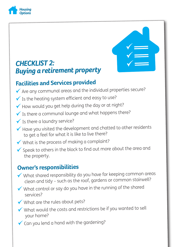

### *CHECKLIST 2: Buying a retirement property*

### **Facilities and Services provided**

- $\checkmark$  Are any communal areas and the individual properties secure?
- $\checkmark$  Is the heating system efficient and easy to use?
- $\checkmark$  How would you get help during the day or at night?
- $\checkmark$  Is there a communal lounge and what happens there?
- $\checkmark$  Is there a laundry service?
- $\checkmark$  Have you visited the development and chatted to other residents to get a feel for what it is like to live there?
- $\checkmark$  What is the process of making a complaint?
- $\checkmark$  Speak to others in the block to find out more about the area and the property.

### **Owner's responsibilities**

- What shared responsibility do you have for keeping common areas clean and tidy – such as the roof, gardens or common stairwell?
- $\checkmark$  What control or say do you have in the running of the shared services?
- What are the rules about pets?
- $\checkmark$  What would the costs and restrictions be if you wanted to sell your home?
- $\checkmark$  Can you lend a hand with the gardening?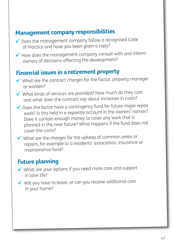### **Management company responsibilities**

- ◆ Does the management company follow a recognised Code of Practice and have you been given a copy?
- $\checkmark$  How does the management company consult with and inform owners of decisions affecting the development?

### **Financial issues in a retirement property**

- What are the contract charges for the factor, property manager or warden?
- What kinds of services are provided? How much do they cost and what does the contract say about increases in costs?
- $\checkmark$  Does the factor have a contingency fund for future major repair work? Is this held in a separate account in the owners' names? Does it contain enough money to cover any work that is <sup>p</sup>lanned in the near future? What happens if the fund does not cover the costs?
- What are the charges for the upkeep of common areas or repairs, for example to a residents' association, insurance or maintenance fund?

### **Future planning**

- What are your options if you need more care and support in later life?
- Will you have to leave, or can you receive additional care in your home?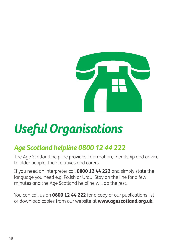

# *Useful Organisations*

# *Age Scotland helpline 0800 12 44 222*

The Age Scotland helpline provides information, friendship and advice to older people, their relatives and carers.

If you need an interpreter call **0800 12 44 222** and simply state the language you need e.g. Polish or Urdu. Stay on the line for a few minutes and the Age Scotland helpline will do the rest.

You can call us on **0800 12 44 222** for a copy of our publications list or download copies from our website at **www.agescotland.org.uk**.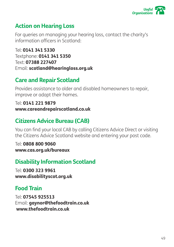

#### **Action on Hearing Loss**

For queries on managing your hearing loss, contact the charity's information officers in Scotland:

Tel: 0141 341 5330 Textphone: 0141 341 5350 Text: 07388 227407 Email: scotland@hearingloss.org.uk

### **Care and Repair Scotland**

Provides assistance to older and disabled homeowners to repair, improve or adapt their homes.

Tel: 0141 221 9879 www.careandrepairscotland.co.uk

### **Citizens Advice Bureau (CAB)**

You can find your local CAB by calling Citizens Advice Direct or visiting the Citizens Advice Scotland website and entering your post code.

Tel: 0808 800 9060 www.cas.org.uk/bureaux

### **Disability Information Scotland**

Tel: 0300 323 9961 www.disabilityscot.org.uk

### **Food Train**

Tel: 07545 925513 Email: gaynor@thefoodtrain.co.uk www.thefoodtrain.co.uk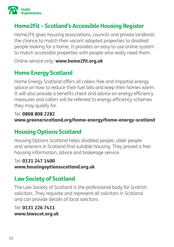

### **Home2Fit - Scotland's Accessible Housing Register**

Home2Fit gives housing associations, councils and private landlords the chance to match their vacant adapted properties to disabled people looking for a home. It provides an easy to use online system to match accessible properties with people who really need them.

Online service only: www.home2fit.org.uk

### **Home Energy Scotland**

Home Energy Scotland offers all callers free and impartial energy advice on how to reduce their fuel bills and keep their homes warm. It will also provide a benefits check and advice on energy efficiency measures and callers will be referred to energy efficiency schemes they may qualify for.

#### Tel: 0808 808 2282 www.greenerscotland.org/home-energy/home-energy-scotland

### **Housing Options Scotland**

Housing Options Scotland helps disabled people, older people and veterans in Scotland find suitable housing. They proved a free housing information, advice and brokerage service.

#### Tel: 0131 247 1400

www.housingoptionsscotland.org.uk

### **Law Society of Scotland**

The Law Society of Scotland is the professional body for Scottish solicitors. They regulate and represent all solicitors in Scotland and can provide details of local solicitors.

#### Tel: 0131 226 7411 www.lawscot.org.uk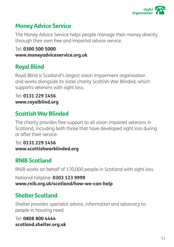

### **Money Advice Service**

The Money Advice Service helps people manage their money directly through their own free and impartial advice service.

Tel: 0300 500 5000 www.moneyadviceservice.org.uk

### **Royal Blind**

Royal Blind is Scotland's largest vision impairment organisation and works alongside its sister charity Scottish War Blinded, which supports veterans with sight loss.

#### Tel: 0131 229 1456 www.royalblind.org

### **Scottish War Blinded**

The charity provides free support to all vision impaired veterans in Scotland, including both those that have developed sight loss during or after their service.

Tel: 0131 229 1456 www.scottishwarblinded.org

### **RNIB Scotland**

RNIB works on behalf of 170,000 people in Scotland with sight loss.

National helpline: 0303 123 9999 www.rnib.org.uk/scotland/how-we-can-help

### **Shelter Scotland**

Shelter provides specialist advice, information and advocacy to people in housing need.

Tel: 0808 800 4444 scotland.shelter.org.uk